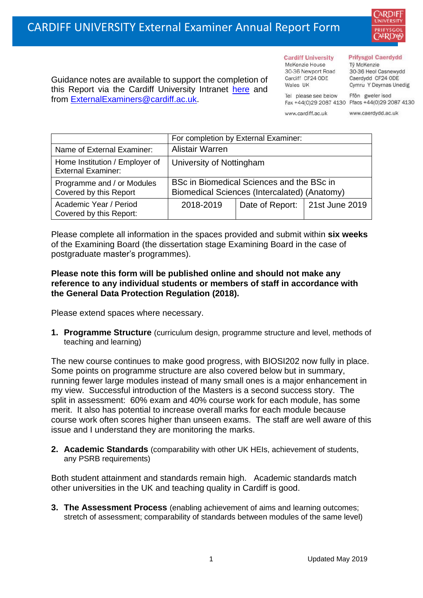

Guidance notes are available to support the completion of this Report via the Cardiff University Intranet [here](https://intranet.cardiff.ac.uk/staff/teaching-and-supporting-students/exams-and-assessment/exam-boards-and-external-examiners/for-current-external-examiners/external-examiners-reports) and from [ExternalExaminers@cardiff.ac.uk.](mailto:ExternalExaminers@cardiff.ac.uk)

**Cardiff University** McKenzie House 30-36 Newport Road Cardiff CF24 ODE

Wales UK

#### **Prifysgol Caerdydd**

Từ McKenzie 30-36 Heol Casnewydd Caerdydd CF24 ODE Cymru Y Deyrnas Unedig

Ffôn gweler isod Fax +44(0)29 2087 4130 Ffacs +44(0)29 2087 4130

www.cardiff.ac.uk

Tel please see below

www.caerdydd.ac.uk

|                                                             | For completion by External Examiner:                                                      |                                  |  |  |
|-------------------------------------------------------------|-------------------------------------------------------------------------------------------|----------------------------------|--|--|
| Name of External Examiner:                                  | Alistair Warren                                                                           |                                  |  |  |
| Home Institution / Employer of<br><b>External Examiner:</b> | University of Nottingham                                                                  |                                  |  |  |
| Programme and / or Modules<br>Covered by this Report        | BSc in Biomedical Sciences and the BSc in<br>Biomedical Sciences (Intercalated) (Anatomy) |                                  |  |  |
| Academic Year / Period<br>Covered by this Report:           | 2018-2019                                                                                 | Date of Report:   21st June 2019 |  |  |

Please complete all information in the spaces provided and submit within **six weeks** of the Examining Board (the dissertation stage Examining Board in the case of postgraduate master's programmes).

# **Please note this form will be published online and should not make any reference to any individual students or members of staff in accordance with the General Data Protection Regulation (2018).**

Please extend spaces where necessary.

**1. Programme Structure** (curriculum design, programme structure and level, methods of teaching and learning)

The new course continues to make good progress, with BIOSI202 now fully in place. Some points on programme structure are also covered below but in summary, running fewer large modules instead of many small ones is a major enhancement in my view. Successful introduction of the Masters is a second success story. The split in assessment: 60% exam and 40% course work for each module, has some merit. It also has potential to increase overall marks for each module because course work often scores higher than unseen exams. The staff are well aware of this issue and I understand they are monitoring the marks.

**2. Academic Standards** (comparability with other UK HEIs, achievement of students, any PSRB requirements)

Both student attainment and standards remain high. Academic standards match other universities in the UK and teaching quality in Cardiff is good.

**3. The Assessment Process** (enabling achievement of aims and learning outcomes; stretch of assessment; comparability of standards between modules of the same level)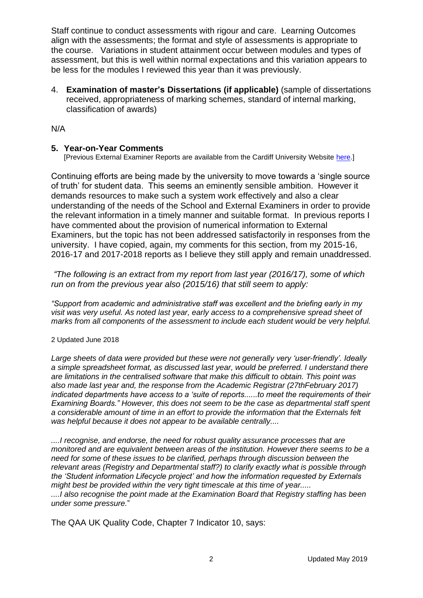Staff continue to conduct assessments with rigour and care. Learning Outcomes align with the assessments; the format and style of assessments is appropriate to the course. Variations in student attainment occur between modules and types of assessment, but this is well within normal expectations and this variation appears to be less for the modules I reviewed this year than it was previously.

4. **Examination of master's Dissertations (if applicable)** (sample of dissertations received, appropriateness of marking schemes, standard of internal marking, classification of awards)

N/A

# **5. Year-on-Year Comments**

[Previous External Examiner Reports are available from the Cardiff University Website [here.](https://www.cardiff.ac.uk/public-information/quality-and-standards/external-examiner-reports)]

Continuing efforts are being made by the university to move towards a 'single source of truth' for student data. This seems an eminently sensible ambition. However it demands resources to make such a system work effectively and also a clear understanding of the needs of the School and External Examiners in order to provide the relevant information in a timely manner and suitable format. In previous reports I have commented about the provision of numerical information to External Examiners, but the topic has not been addressed satisfactorily in responses from the university. I have copied, again, my comments for this section, from my 2015-16, 2016-17 and 2017-2018 reports as I believe they still apply and remain unaddressed.

*"The following is an extract from my report from last year (2016/17), some of which run on from the previous year also (2015/16) that still seem to apply:* 

*"Support from academic and administrative staff was excellent and the briefing early in my visit was very useful. As noted last year, early access to a comprehensive spread sheet of marks from all components of the assessment to include each student would be very helpful.* 

#### 2 Updated June 2018

*Large sheets of data were provided but these were not generally very 'user-friendly'. Ideally a simple spreadsheet format, as discussed last year, would be preferred. I understand there are limitations in the centralised software that make this difficult to obtain. This point was also made last year and, the response from the Academic Registrar (27thFebruary 2017) indicated departments have access to a 'suite of reports......to meet the requirements of their Examining Boards." However, this does not seem to be the case as departmental staff spent a considerable amount of time in an effort to provide the information that the Externals felt was helpful because it does not appear to be available centrally....* 

*....I recognise, and endorse, the need for robust quality assurance processes that are monitored and are equivalent between areas of the institution. However there seems to be a need for some of these issues to be clarified, perhaps through discussion between the relevant areas (Registry and Departmental staff?) to clarify exactly what is possible through the 'Student information Lifecycle project' and how the information requested by Externals might best be provided within the very tight timescale at this time of year..... ....I also recognise the point made at the Examination Board that Registry staffing has been under some pressure.*"

The QAA UK Quality Code, Chapter 7 Indicator 10, says: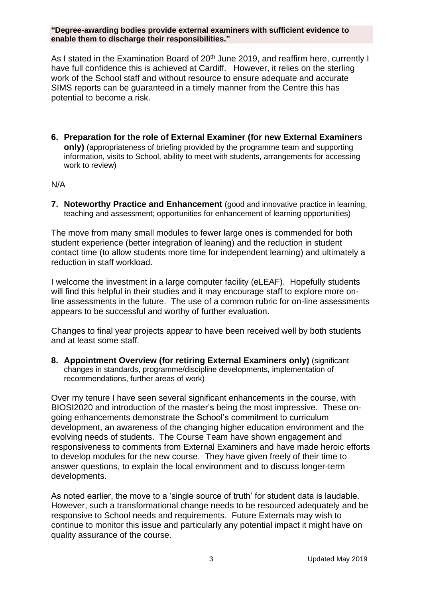**"Degree-awarding bodies provide external examiners with sufficient evidence to enable them to discharge their responsibilities."**

As I stated in the Examination Board of 20<sup>th</sup> June 2019, and reaffirm here, currently I have full confidence this is achieved at Cardiff. However, it relies on the sterling work of the School staff and without resource to ensure adequate and accurate SIMS reports can be guaranteed in a timely manner from the Centre this has potential to become a risk.

**6. Preparation for the role of External Examiner (for new External Examiners only)** (appropriateness of briefing provided by the programme team and supporting information, visits to School, ability to meet with students, arrangements for accessing work to review)

### N/A

**7. Noteworthy Practice and Enhancement** (good and innovative practice in learning, teaching and assessment; opportunities for enhancement of learning opportunities)

The move from many small modules to fewer large ones is commended for both student experience (better integration of leaning) and the reduction in student contact time (to allow students more time for independent learning) and ultimately a reduction in staff workload.

I welcome the investment in a large computer facility (eLEAF). Hopefully students will find this helpful in their studies and it may encourage staff to explore more online assessments in the future. The use of a common rubric for on-line assessments appears to be successful and worthy of further evaluation.

Changes to final year projects appear to have been received well by both students and at least some staff.

**8. Appointment Overview (for retiring External Examiners only)** (significant changes in standards, programme/discipline developments, implementation of recommendations, further areas of work)

Over my tenure I have seen several significant enhancements in the course, with BIOSI2020 and introduction of the master's being the most impressive. These ongoing enhancements demonstrate the School's commitment to curriculum development, an awareness of the changing higher education environment and the evolving needs of students. The Course Team have shown engagement and responsiveness to comments from External Examiners and have made heroic efforts to develop modules for the new course. They have given freely of their time to answer questions, to explain the local environment and to discuss longer-term developments.

As noted earlier, the move to a 'single source of truth' for student data is laudable. However, such a transformational change needs to be resourced adequately and be responsive to School needs and requirements. Future Externals may wish to continue to monitor this issue and particularly any potential impact it might have on quality assurance of the course.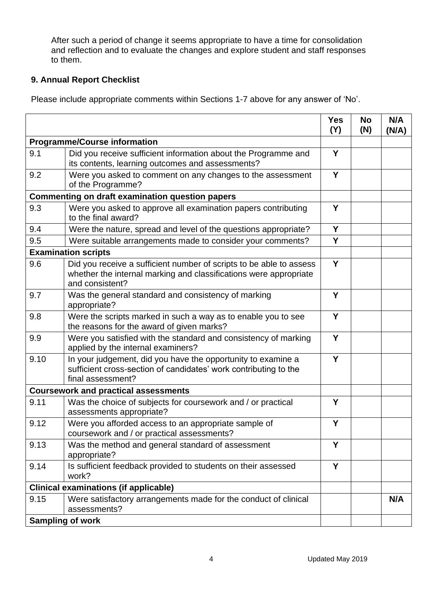After such a period of change it seems appropriate to have a time for consolidation and reflection and to evaluate the changes and explore student and staff responses to them.

# **9. Annual Report Checklist**

Please include appropriate comments within Sections 1-7 above for any answer of 'No'.

|                                                        |                                                                                                                                                             | <b>Yes</b><br>(Y) | <b>No</b><br>(N) | N/A<br>(N/A) |
|--------------------------------------------------------|-------------------------------------------------------------------------------------------------------------------------------------------------------------|-------------------|------------------|--------------|
| <b>Programme/Course information</b>                    |                                                                                                                                                             |                   |                  |              |
| 9.1                                                    | Did you receive sufficient information about the Programme and<br>its contents, learning outcomes and assessments?                                          | Y                 |                  |              |
| 9.2                                                    | Were you asked to comment on any changes to the assessment<br>of the Programme?                                                                             | Y                 |                  |              |
| <b>Commenting on draft examination question papers</b> |                                                                                                                                                             |                   |                  |              |
| 9.3                                                    | Were you asked to approve all examination papers contributing<br>to the final award?                                                                        | Y                 |                  |              |
| 9.4                                                    | Were the nature, spread and level of the questions appropriate?                                                                                             | Y                 |                  |              |
| 9.5                                                    | Were suitable arrangements made to consider your comments?                                                                                                  | Y                 |                  |              |
| <b>Examination scripts</b>                             |                                                                                                                                                             |                   |                  |              |
| 9.6                                                    | Did you receive a sufficient number of scripts to be able to assess<br>whether the internal marking and classifications were appropriate<br>and consistent? | Y                 |                  |              |
| 9.7                                                    | Was the general standard and consistency of marking<br>appropriate?                                                                                         | Y                 |                  |              |
| 9.8                                                    | Were the scripts marked in such a way as to enable you to see<br>the reasons for the award of given marks?                                                  | Y                 |                  |              |
| 9.9                                                    | Were you satisfied with the standard and consistency of marking<br>applied by the internal examiners?                                                       | Y                 |                  |              |
| 9.10                                                   | In your judgement, did you have the opportunity to examine a<br>sufficient cross-section of candidates' work contributing to the<br>final assessment?       | Y                 |                  |              |
|                                                        | <b>Coursework and practical assessments</b>                                                                                                                 |                   |                  |              |
| 9.11                                                   | Was the choice of subjects for coursework and / or practical<br>assessments appropriate?                                                                    | Y                 |                  |              |
| 9.12                                                   | Were you afforded access to an appropriate sample of<br>coursework and / or practical assessments?                                                          | Y                 |                  |              |
| 9.13                                                   | Was the method and general standard of assessment<br>appropriate?                                                                                           | Y                 |                  |              |
| 9.14                                                   | Is sufficient feedback provided to students on their assessed<br>work?                                                                                      | Y                 |                  |              |
| <b>Clinical examinations (if applicable)</b>           |                                                                                                                                                             |                   |                  |              |
| 9.15                                                   | Were satisfactory arrangements made for the conduct of clinical<br>assessments?                                                                             |                   |                  | N/A          |
|                                                        | <b>Sampling of work</b>                                                                                                                                     |                   |                  |              |